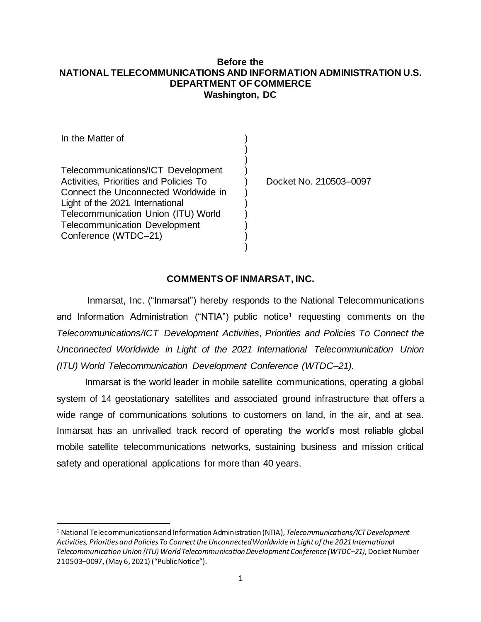#### **Before the NATIONAL TELECOMMUNICATIONS AND INFORMATION ADMINISTRATION U.S. DEPARTMENT OF COMMERCE Washington, DC**

| Docket No. 210503-0097 |
|------------------------|
|                        |

### **COMMENTS OF INMARSAT, INC.**

Inmarsat, Inc. ("Inmarsat") hereby responds to the National Telecommunications and Information Administration ("NTIA") public notice<sup>1</sup> requesting comments on the *Telecommunications/ICT Development Activities, Priorities and Policies To Connect the Unconnected Worldwide in Light of the 2021 International Telecommunication Union (ITU) World Telecommunication Development Conference (WTDC–21).* 

Inmarsat is the world leader in mobile satellite communications, operating a global system of 14 geostationary satellites and associated ground infrastructure that offers a wide range of communications solutions to customers on land, in the air, and at sea. Inmarsat has an unrivalled track record of operating the world's most reliable global mobile satellite telecommunications networks, sustaining business and mission critical safety and operational applications for more than 40 years.

<sup>1</sup> National Telecommunications and Information Administration (NTIA), *Telecommunications/ICT Development Activities, Priorities and Policies To Connect the Unconnected Worldwide in Light of the 2021 International Telecommunication Union (ITU) World Telecommunication Development Conference (WTDC–21)*, Docket Number 210503–0097, (May 6, 2021) ("Public Notice").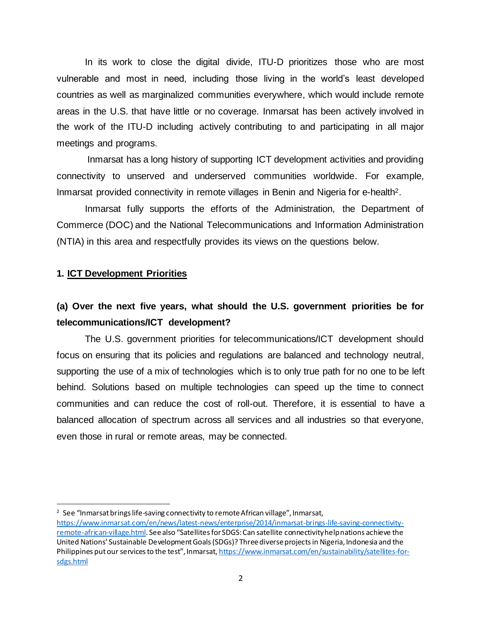In its work to close the digital divide, ITU-D prioritizes those who are most vulnerable and most in need, including those living in the world's least developed countries as well as marginalized communities everywhere, which would include remote areas in the U.S. that have little or no coverage. Inmarsat has been actively involved in the work of the ITU-D including actively contributing to and participating in all major meetings and programs.

Inmarsat has a long history of supporting ICT development activities and providing connectivity to unserved and underserved communities worldwide. For example, Inmarsat provided connectivity in remote villages in Benin and Nigeria for e-health2.

Inmarsat fully supports the efforts of the Administration, the Department of Commerce (DOC) and the National Telecommunications and Information Administration (NTIA) in this area and respectfully provides its views on the questions below.

#### **1. ICT Development Priorities**

## **(a) Over the next five years, what should the U.S. government priorities be for telecommunications/ICT development?**

The U.S. government priorities for telecommunications/ICT development should focus on ensuring that its policies and regulations are balanced and technology neutral, supporting the use of a mix of technologies which is to only true path for no one to be left behind. Solutions based on multiple technologies can speed up the time to connect communities and can reduce the cost of roll-out. Therefore, it is essential to have a balanced allocation of spectrum across all services and all industries so that everyone, even those in rural or remote areas, may be connected.

<sup>&</sup>lt;sup>2</sup> See "Inmarsat brings life-saving connectivity to remote African village", Inmarsat,

[https://www.inmarsat.com/en/news/latest-news/enterprise/2014/inmarsat-brings-life-saving-connectivity](https://www.inmarsat.com/en/news/latest-news/enterprise/2014/inmarsat-brings-life-saving-connectivity-remote-african-village.html)[remote-african-village.html](https://www.inmarsat.com/en/news/latest-news/enterprise/2014/inmarsat-brings-life-saving-connectivity-remote-african-village.html). See also "Satellites for SDGS: Can satellite connectivity help nations achieve the United Nations' Sustainable Development Goals (SDGs)? Three diverse projects in Nigeria, Indonesia and the Philippines put our services to the test", Inmarsat, [https://www.inmarsat.com/en/sustainability/satellites-for](https://www.inmarsat.com/en/sustainability/satellites-for-sdgs.html)[sdgs.html](https://www.inmarsat.com/en/sustainability/satellites-for-sdgs.html)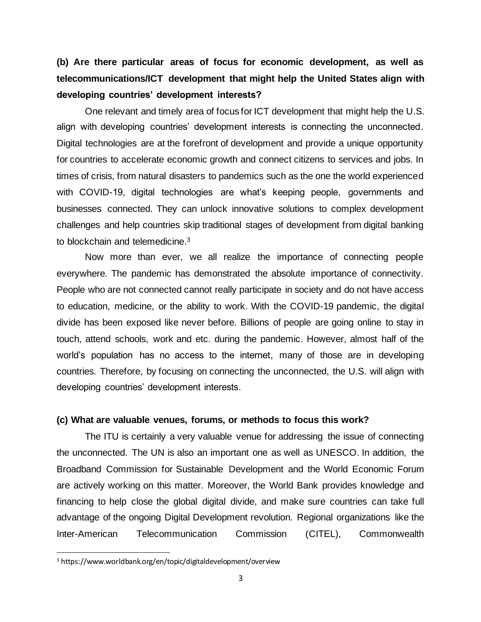**(b) Are there particular areas of focus for economic development, as well as telecommunications/ICT development that might help the United States align with developing countries' development interests?**

One relevant and timely area of focus for ICT development that might help the U.S. align with developing countries' development interests is connecting the unconnected. Digital technologies are at the forefront of development and provide a unique opportunity for countries to accelerate economic growth and connect citizens to services and jobs. In times of crisis, from natural disasters to pandemics such as the one the world experienced with COVID-19, digital technologies are what's keeping people, governments and businesses connected. They can unlock innovative solutions to complex development challenges and help countries skip traditional stages of development from digital banking to blockchain and telemedicine.<sup>3</sup>

Now more than ever, we all realize the importance of connecting people everywhere. The pandemic has demonstrated the absolute importance of connectivity. People who are not connected cannot really participate in society and do not have access to education, medicine, or the ability to work. With the COVID-19 pandemic, the digital divide has been exposed like never before. Billions of people are going online to stay in touch, attend schools, work and etc. during the pandemic. However, almost half of the world's population has no access to the internet, many of those are in developing countries. Therefore, by focusing on connecting the unconnected, the U.S. will align with developing countries' development interests.

#### **(c) What are valuable venues, forums, or methods to focus this work?**

The ITU is certainly a very valuable venue for addressing the issue of connecting the unconnected. The UN is also an important one as well as UNESCO. In addition, the Broadband Commission for Sustainable Development and the World Economic Forum are actively working on this matter. Moreover, the World Bank provides knowledge and financing to help close the global digital divide, and make sure countries can take full advantage of the ongoing Digital Development revolution. Regional organizations like the Inter-American Telecommunication Commission (CITEL), Commonwealth

<sup>3</sup> https://www.worldbank.org/en/topic/digitaldevelopment/overview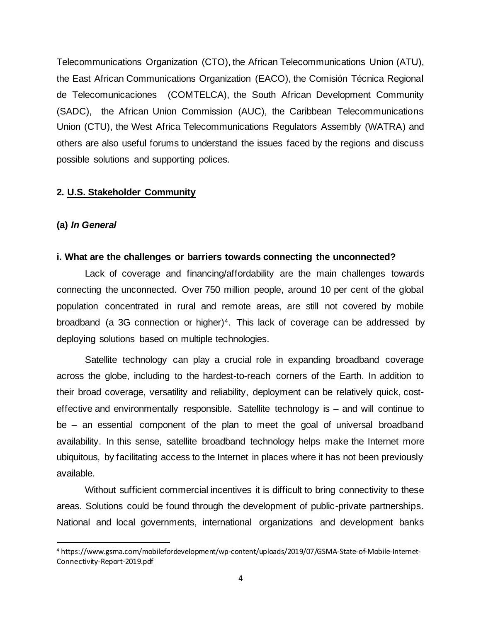Telecommunications Organization (CTO), the African Telecommunications Union (ATU), the East African Communications Organization (EACO), the Comisión Técnica Regional de Telecomunicaciones (COMTELCA), the South African Development Community (SADC), the African Union Commission (AUC), the Caribbean Telecommunications Union (CTU), the West Africa Telecommunications Regulators Assembly (WATRA) and others are also useful forums to understand the issues faced by the regions and discuss possible solutions and supporting polices.

### **2. U.S. Stakeholder Community**

#### **(a)** *In General*

#### **i. What are the challenges or barriers towards connecting the unconnected?**

Lack of coverage and financing/affordability are the main challenges towards connecting the unconnected. Over 750 million people, around 10 per cent of the global population concentrated in rural and remote areas, are still not covered by mobile broadband (a 3G connection or higher)4. This lack of coverage can be addressed by deploying solutions based on multiple technologies.

Satellite technology can play a crucial role in expanding broadband coverage across the globe, including to the hardest-to-reach corners of the Earth. In addition to their broad coverage, versatility and reliability, deployment can be relatively quick, costeffective and environmentally responsible. Satellite technology is – and will continue to be – an essential component of the plan to meet the goal of universal broadband availability. In this sense, satellite broadband technology helps make the Internet more ubiquitous, by facilitating access to the Internet in places where it has not been previously available.

Without sufficient commercial incentives it is difficult to bring connectivity to these areas. Solutions could be found through the development of public-private partnerships. National and local governments, international organizations and development banks

<sup>4</sup> https://www.gsma.com/mobilefordevelopment/wp-content/uploads/2019/07/GSMA-State-of-Mobile-Internet-Connectivity-Report-2019.pdf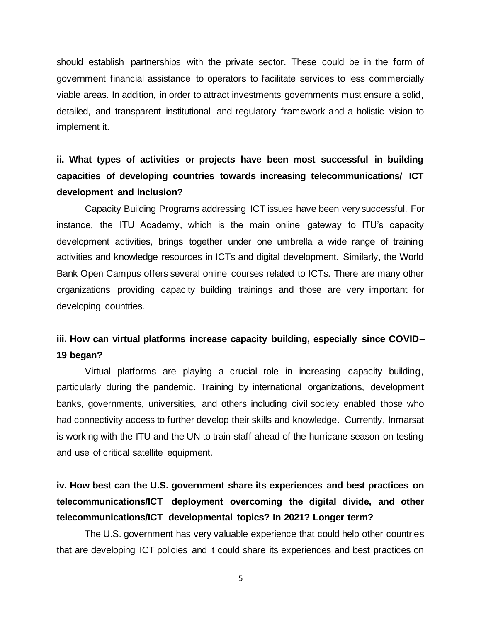should establish partnerships with the private sector. These could be in the form of government financial assistance to operators to facilitate services to less commercially viable areas. In addition, in order to attract investments governments must ensure a solid, detailed, and transparent institutional and regulatory framework and a holistic vision to implement it.

# **ii. What types of activities or projects have been most successful in building capacities of developing countries towards increasing telecommunications/ ICT development and inclusion?**

Capacity Building Programs addressing ICT issues have been very successful. For instance, the ITU Academy, which is the main online gateway to ITU's capacity development activities, brings together under one umbrella a wide range of training activities and knowledge resources in ICTs and digital development. Similarly, the World Bank Open Campus offers several online courses related to ICTs. There are many other organizations providing capacity building trainings and those are very important for developing countries.

# **iii. How can virtual platforms increase capacity building, especially since COVID– 19 began?**

Virtual platforms are playing a crucial role in increasing capacity building, particularly during the pandemic. Training by international organizations, development banks, governments, universities, and others including civil society enabled those who had connectivity access to further develop their skills and knowledge. Currently, Inmarsat is working with the ITU and the UN to train staff ahead of the hurricane season on testing and use of critical satellite equipment.

# **iv. How best can the U.S. government share its experiences and best practices on telecommunications/ICT deployment overcoming the digital divide, and other telecommunications/ICT developmental topics? In 2021? Longer term?**

The U.S. government has very valuable experience that could help other countries that are developing ICT policies and it could share its experiences and best practices on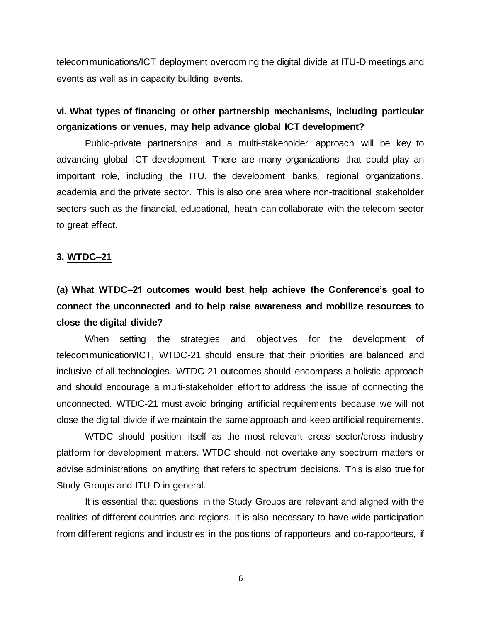telecommunications/ICT deployment overcoming the digital divide at ITU-D meetings and events as well as in capacity building events.

### **vi. What types of financing or other partnership mechanisms, including particular organizations or venues, may help advance global ICT development?**

Public-private partnerships and a multi-stakeholder approach will be key to advancing global ICT development. There are many organizations that could play an important role, including the ITU, the development banks, regional organizations, academia and the private sector. This is also one area where non-traditional stakeholder sectors such as the financial, educational, heath can collaborate with the telecom sector to great effect.

#### **3. WTDC–21**

**(a) What WTDC–21 outcomes would best help achieve the Conference's goal to connect the unconnected and to help raise awareness and mobilize resources to close the digital divide?**

When setting the strategies and objectives for the development of telecommunication/ICT, WTDC-21 should ensure that their priorities are balanced and inclusive of all technologies. WTDC-21 outcomes should encompass a holistic approach and should encourage a multi-stakeholder effort to address the issue of connecting the unconnected. WTDC-21 must avoid bringing artificial requirements because we will not close the digital divide if we maintain the same approach and keep artificial requirements.

WTDC should position itself as the most relevant cross sector/cross industry platform for development matters. WTDC should not overtake any spectrum matters or advise administrations on anything that refers to spectrum decisions. This is also true for Study Groups and ITU-D in general.

It is essential that questions in the Study Groups are relevant and aligned with the realities of different countries and regions. It is also necessary to have wide participation from different regions and industries in the positions of rapporteurs and co-rapporteurs, if

6